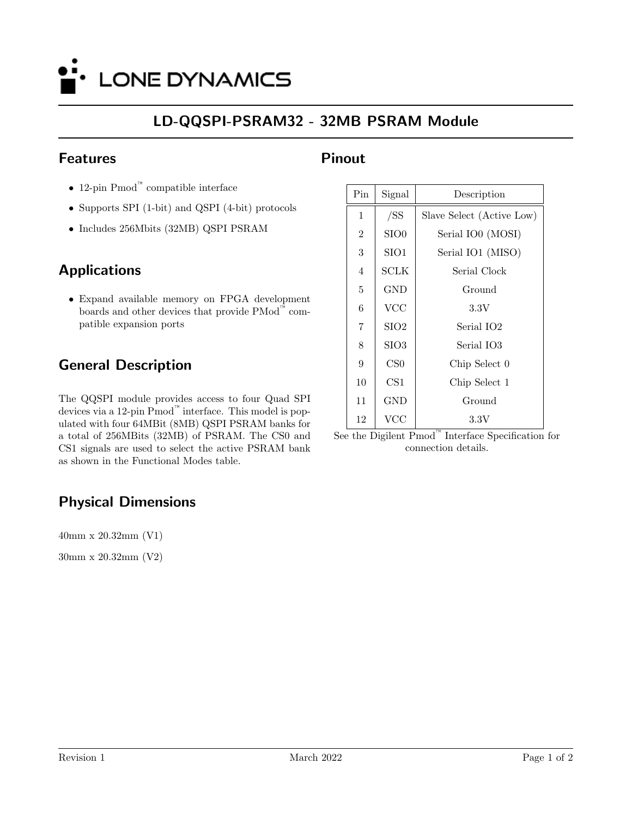

## LD-QQSPI-PSRAM32 - 32MB PSRAM Module

#### Features

- 12-pin Pmod™ compatible interface
- Supports SPI (1-bit) and QSPI (4-bit) protocols
- Includes 256Mbits (32MB) QSPI PSRAM

### Applications

• Expand available memory on FPGA development boards and other devices that provide PMod™ compatible expansion ports

# General Description

The QQSPI module provides access to four Quad SPI devices via a 12-pin Pmod™ interface. This model is populated with four 64MBit (8MB) QSPI PSRAM banks for a total of 256MBits (32MB) of PSRAM. The CS0 and CS1 signals are used to select the active PSRAM bank as shown in the Functional Modes table.

# Physical Dimensions

40mm x 20.32mm (V1)

30mm x 20.32mm (V2)

#### Pinout

| Pin            | Signal            | Description                  |  |  |
|----------------|-------------------|------------------------------|--|--|
| $\mathbf 1$    | /SS               | Slave Select (Active Low)    |  |  |
| $\overline{2}$ | SIO <sub>0</sub>  | Serial IO0 (MOSI)            |  |  |
| 3              | SIO <sub>1</sub>  | Serial IO1 (MISO)            |  |  |
| $\overline{4}$ | SCLK              | Serial Clock                 |  |  |
| 5              | <b>GND</b>        | Ground                       |  |  |
| 6              | $\rm VCC$         | 3.3V                         |  |  |
| 7              | SI <sub>O</sub> 2 | Serial IO2                   |  |  |
| 8              | SIO <sub>3</sub>  | Serial IO3                   |  |  |
| 9              | CS <sub>0</sub>   | Chip Select 0                |  |  |
| 10             | CS <sub>1</sub>   | Chip Select 1                |  |  |
| 11             | <b>GND</b>        | Ground                       |  |  |
| 12             | VCC               | $3.3\mathrm{V}$<br><b>TM</b> |  |  |

See the Digilent Pmod™ Interface Specification for connection details.